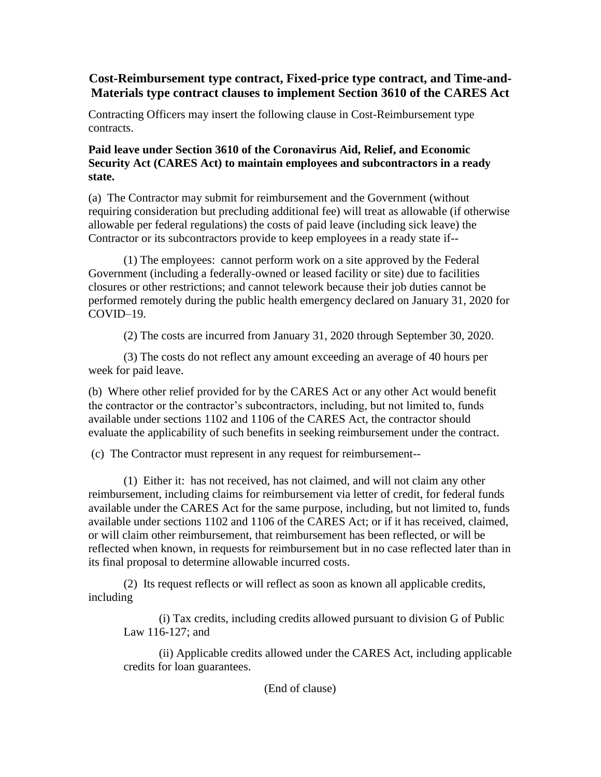## **Cost-Reimbursement type contract, Fixed-price type contract, and Time-and-Materials type contract clauses to implement Section 3610 of the CARES Act**

Contracting Officers may insert the following clause in Cost-Reimbursement type contracts.

## **Paid leave under Section 3610 of the Coronavirus Aid, Relief, and Economic Security Act (CARES Act) to maintain employees and subcontractors in a ready state.**

(a) The Contractor may submit for reimbursement and the Government (without requiring consideration but precluding additional fee) will treat as allowable (if otherwise allowable per federal regulations) the costs of paid leave (including sick leave) the Contractor or its subcontractors provide to keep employees in a ready state if--

(1) The employees: cannot perform work on a site approved by the Federal Government (including a federally-owned or leased facility or site) due to facilities closures or other restrictions; and cannot telework because their job duties cannot be performed remotely during the public health emergency declared on January 31, 2020 for COVID–19.

(2) The costs are incurred from January 31, 2020 through September 30, 2020.

(3) The costs do not reflect any amount exceeding an average of 40 hours per week for paid leave.

(b) Where other relief provided for by the CARES Act or any other Act would benefit the contractor or the contractor's subcontractors, including, but not limited to, funds available under sections 1102 and 1106 of the CARES Act, the contractor should evaluate the applicability of such benefits in seeking reimbursement under the contract.

(c) The Contractor must represent in any request for reimbursement--

(1) Either it: has not received, has not claimed, and will not claim any other reimbursement, including claims for reimbursement via letter of credit, for federal funds available under the CARES Act for the same purpose, including, but not limited to, funds available under sections 1102 and 1106 of the CARES Act; or if it has received, claimed, or will claim other reimbursement, that reimbursement has been reflected, or will be reflected when known, in requests for reimbursement but in no case reflected later than in its final proposal to determine allowable incurred costs.

(2) Its request reflects or will reflect as soon as known all applicable credits, including

(i) Tax credits, including credits allowed pursuant to division G of Public Law 116-127; and

(ii) Applicable credits allowed under the CARES Act, including applicable credits for loan guarantees.

(End of clause)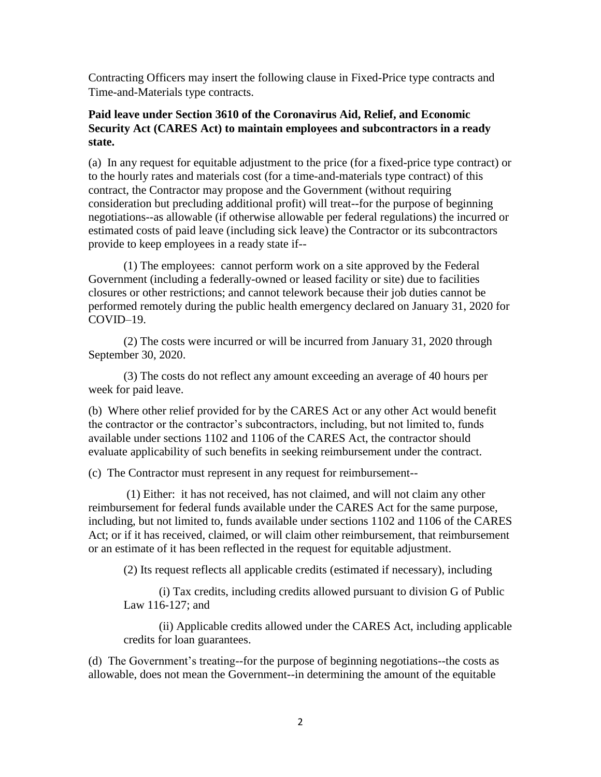Contracting Officers may insert the following clause in Fixed-Price type contracts and Time-and-Materials type contracts.

## **Paid leave under Section 3610 of the Coronavirus Aid, Relief, and Economic Security Act (CARES Act) to maintain employees and subcontractors in a ready state.**

(a) In any request for equitable adjustment to the price (for a fixed-price type contract) or to the hourly rates and materials cost (for a time-and-materials type contract) of this contract, the Contractor may propose and the Government (without requiring consideration but precluding additional profit) will treat--for the purpose of beginning negotiations--as allowable (if otherwise allowable per federal regulations) the incurred or estimated costs of paid leave (including sick leave) the Contractor or its subcontractors provide to keep employees in a ready state if--

(1) The employees: cannot perform work on a site approved by the Federal Government (including a federally-owned or leased facility or site) due to facilities closures or other restrictions; and cannot telework because their job duties cannot be performed remotely during the public health emergency declared on January 31, 2020 for COVID–19.

(2) The costs were incurred or will be incurred from January 31, 2020 through September 30, 2020.

(3) The costs do not reflect any amount exceeding an average of 40 hours per week for paid leave.

(b) Where other relief provided for by the CARES Act or any other Act would benefit the contractor or the contractor's subcontractors, including, but not limited to, funds available under sections 1102 and 1106 of the CARES Act, the contractor should evaluate applicability of such benefits in seeking reimbursement under the contract.

(c) The Contractor must represent in any request for reimbursement--

(1) Either: it has not received, has not claimed, and will not claim any other reimbursement for federal funds available under the CARES Act for the same purpose, including, but not limited to, funds available under sections 1102 and 1106 of the CARES Act; or if it has received, claimed, or will claim other reimbursement, that reimbursement or an estimate of it has been reflected in the request for equitable adjustment.

(2) Its request reflects all applicable credits (estimated if necessary), including

(i) Tax credits, including credits allowed pursuant to division G of Public Law 116-127; and

(ii) Applicable credits allowed under the CARES Act, including applicable credits for loan guarantees.

(d) The Government's treating--for the purpose of beginning negotiations--the costs as allowable, does not mean the Government--in determining the amount of the equitable